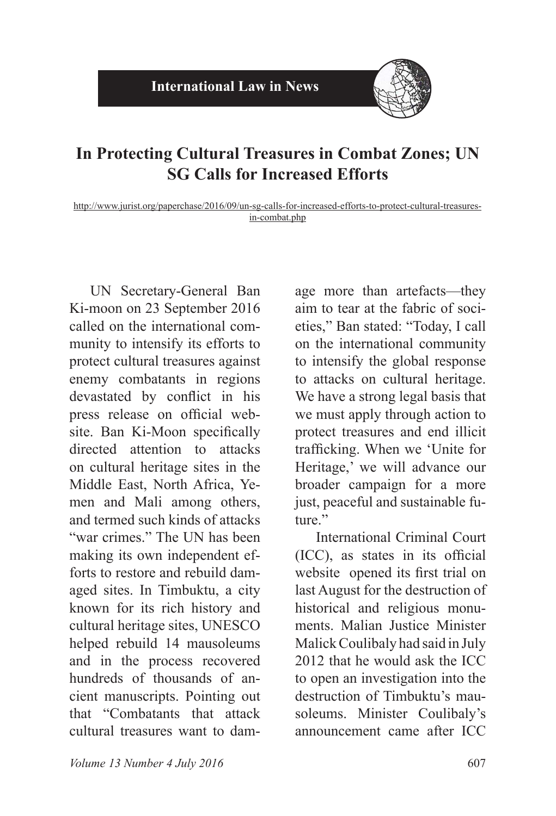## **In Protecting Cultural Treasures in Combat Zones; UN SG Calls for Increased Efforts**

http://www.jurist.org/paperchase/2016/09/un-sg-calls-for-increased-efforts-to-protect-cultural-treasuresin-combat.php

UN Secretary-General Ban Ki-moon on 23 September 2016 called on the international community to intensify its efforts to protect cultural treasures against enemy combatants in regions devastated by conflict in his press release on official website. Ban Ki-Moon specifically directed attention to attacks on cultural heritage sites in the Middle East, North Africa, Yemen and Mali among others, and termed such kinds of attacks "war crimes." The UN has been making its own independent efforts to restore and rebuild damaged sites. In Timbuktu, a city known for its rich history and cultural heritage sites, UNESCO helped rebuild 14 mausoleums and in the process recovered hundreds of thousands of ancient manuscripts. Pointing out that "Combatants that attack cultural treasures want to dam-

age more than artefacts—they aim to tear at the fabric of societies," Ban stated: "Today, I call on the international community to intensify the global response to attacks on cultural heritage. We have a strong legal basis that we must apply through action to protect treasures and end illicit trafficking. When we 'Unite for Heritage,' we will advance our broader campaign for a more just, peaceful and sustainable future"

International Criminal Court  $(ICC)$ , as states in its official website opened its first trial on last August for the destruction of historical and religious monuments. Malian Justice Minister Malick Coulibaly had said in July 2012 that he would ask the ICC to open an investigation into the destruction of Timbuktu's mausoleums. Minister Coulibaly's announcement came after ICC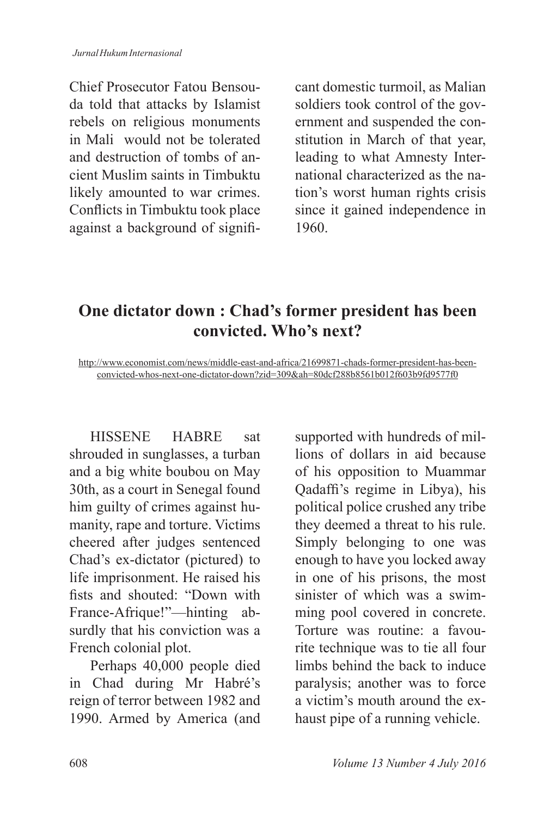Chief Prosecutor Fatou Bensouda told that attacks by Islamist rebels on religious monuments in Mali would not be tolerated and destruction of tombs of ancient Muslim saints in Timbuktu likely amounted to war crimes. Conflicts in Timbuktu took place against a background of significant domestic turmoil, as Malian soldiers took control of the government and suspended the constitution in March of that year, leading to what Amnesty International characterized as the nation's worst human rights crisis since it gained independence in 1960

## **One dictator down : Chad's former president has been convicted. Who's next?**

http://www.economist.com/news/middle-east-and-africa/21699871-chads-former-president-has-beenconvicted-whos-next-one-dictator-down?zid=309&ah=80dcf288b8561b012f603b9fd9577f0

HISSENE HABRE sat shrouded in sunglasses, a turban and a big white boubou on May 30th, as a court in Senegal found him guilty of crimes against humanity, rape and torture. Victims cheered after judges sentenced Chad's ex-dictator (pictured) to life imprisonment. He raised his fists and shouted: "Down with France-Afrique!"—hinting absurdly that his conviction was a French colonial plot.

Perhaps 40,000 people died in Chad during Mr Habré's reign of terror between 1982 and 1990. Armed by America (and supported with hundreds of millions of dollars in aid because of his opposition to Muammar Qadaffi's regime in Libya), his political police crushed any tribe they deemed a threat to his rule. Simply belonging to one was enough to have you locked away in one of his prisons, the most sinister of which was a swimming pool covered in concrete. Torture was routine: a favourite technique was to tie all four limbs behind the back to induce paralysis; another was to force a victim's mouth around the exhaust pipe of a running vehicle.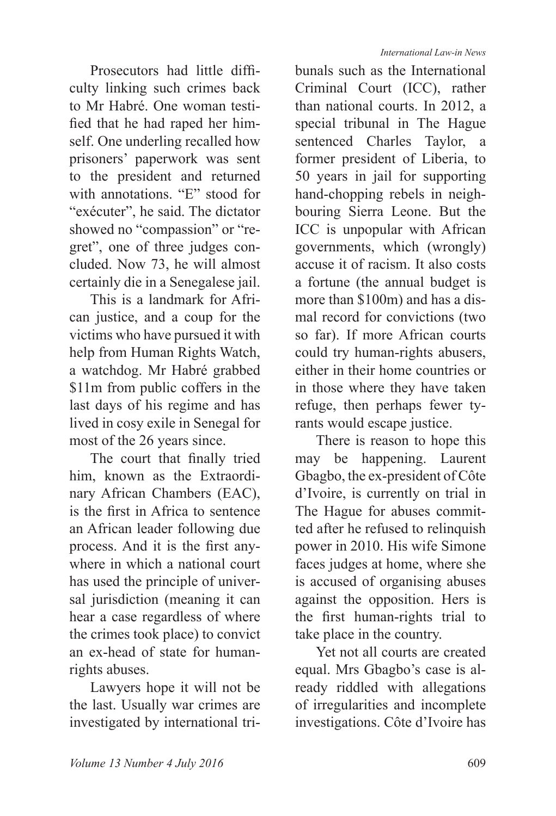Prosecutors had little difficulty linking such crimes back to Mr Habré. One woman testified that he had raped her himself. One underling recalled how prisoners' paperwork was sent to the president and returned with annotations " $E$ " stood for "exécuter", he said. The dictator showed no "compassion" or "regret", one of three judges concluded. Now 73, he will almost certainly die in a Senegalese jail.

This is a landmark for African justice, and a coup for the victims who have pursued it with help from Human Rights Watch, a watchdog. Mr Habré grabbed \$11m from public coffers in the last days of his regime and has lived in cosy exile in Senegal for most of the 26 years since.

The court that finally tried him, known as the Extraordinary African Chambers (EAC), is the first in Africa to sentence an African leader following due process. And it is the first anywhere in which a national court has used the principle of universal jurisdiction (meaning it can hear a case regardless of where the crimes took place) to convict an ex-head of state for humanrights abuses.

Lawyers hope it will not be the last. Usually war crimes are investigated by international tribunals such as the International Criminal Court (ICC), rather than national courts. In 2012, a special tribunal in The Hague sentenced Charles Taylor, a former president of Liberia, to  $50$  years in jail for supporting hand-chopping rebels in neighbouring Sierra Leone. But the ICC is unpopular with African governments, which (wrongly) accuse it of racism. It also costs a fortune (the annual budget is more than \$100m) and has a dismal record for convictions (two so far). If more African courts could try human-rights abusers, either in their home countries or in those where they have taken refuge, then perhaps fewer tyrants would escape justice.

There is reason to hope this may be happening. Laurent Gbagbo, the ex-president of Côte d'Ivoire, is currently on trial in The Hague for abuses committed after he refused to relinquish power in 2010. His wife Simone faces judges at home, where she is accused of organising abuses against the opposition. Hers is the first human-rights trial to take place in the country.

Yet not all courts are created equal. Mrs Gbagbo's case is already riddled with allegations of irregularities and incomplete investigations. Côte d'Ivoire has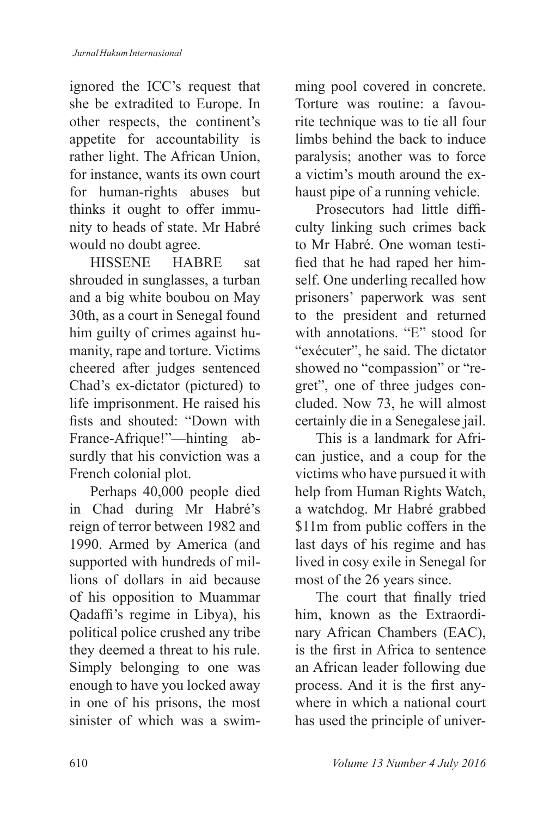ignored the ICC's request that she be extradited to Europe. In other respects, the continent's appetite for accountability is rather light. The African Union, for instance, wants its own court for human-rights abuses but thinks it ought to offer immunity to heads of state. Mr Habré would no doubt agree.

HISSENE HABRE sat shrouded in sunglasses, a turban and a big white boubou on May 30th, as a court in Senegal found him guilty of crimes against humanity, rape and torture. Victims cheered after judges sentenced Chad's ex-dictator (pictured) to life imprisonment. He raised his fists and shouted: "Down with France-Afrique!"—hinting absurdly that his conviction was a French colonial plot.

Perhaps 40,000 people died in Chad during Mr Habré's reign of terror between 1982 and 1990. Armed by America (and supported with hundreds of millions of dollars in aid because of his opposition to Muammar Qadaffi's regime in Libya), his political police crushed any tribe they deemed a threat to his rule. Simply belonging to one was enough to have you locked away in one of his prisons, the most sinister of which was a swimming pool covered in concrete. Torture was routine: a favourite technique was to tie all four limbs behind the back to induce paralysis; another was to force a victim's mouth around the exhaust pipe of a running vehicle.

Prosecutors had little difficulty linking such crimes back to Mr Habré. One woman testified that he had raped her himself. One underling recalled how prisoners' paperwork was sent to the president and returned with annotations. "E" stood for "exécuter", he said. The dictator showed no "compassion" or "regret", one of three judges concluded. Now 73, he will almost certainly die in a Senegalese jail.

This is a landmark for African justice, and a coup for the victims who have pursued it with help from Human Rights Watch. a watchdog. Mr Habré grabbed \$11m from public coffers in the last days of his regime and has lived in cosy exile in Senegal for most of the 26 years since.

The court that finally tried him, known as the Extraordinary African Chambers (EAC), is the first in Africa to sentence an African leader following due process. And it is the first anywhere in which a national court has used the principle of univer